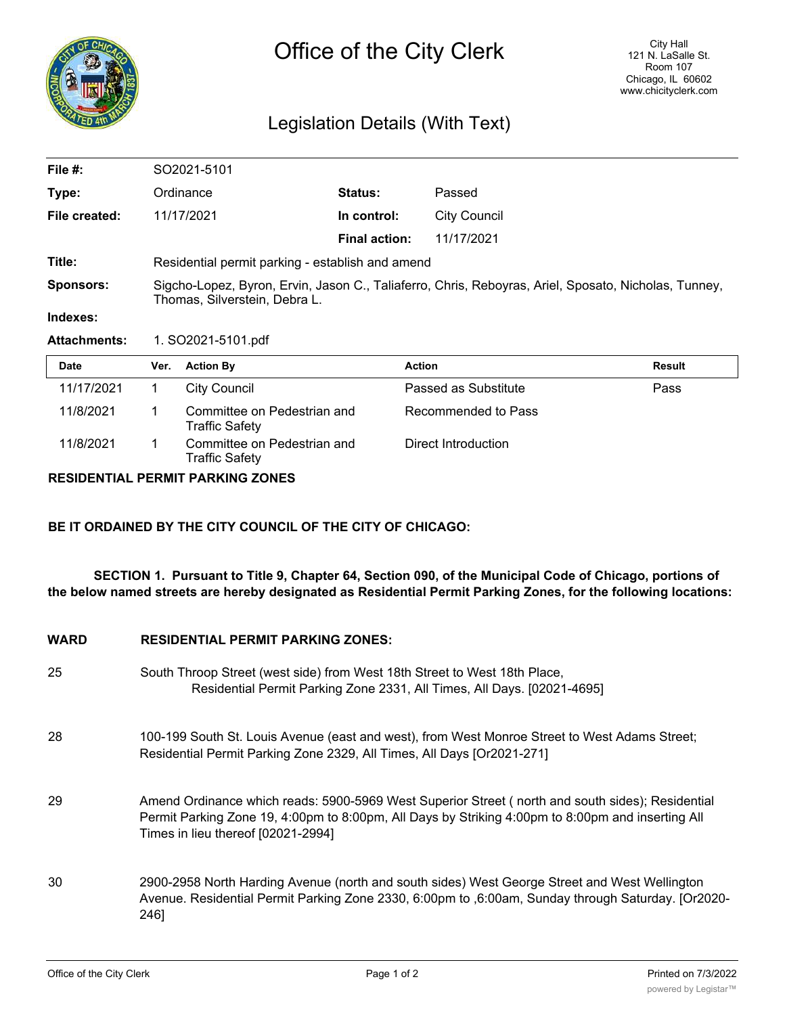

# Legislation Details (With Text)

| File $#$ :          | SO2021-5101                                                                                                                           |                |                     |               |
|---------------------|---------------------------------------------------------------------------------------------------------------------------------------|----------------|---------------------|---------------|
| Type:               | Ordinance                                                                                                                             | <b>Status:</b> | Passed              |               |
| File created:       | 11/17/2021                                                                                                                            | In control:    | <b>City Council</b> |               |
|                     |                                                                                                                                       | Final action:  | 11/17/2021          |               |
| Title:              | Residential permit parking - establish and amend                                                                                      |                |                     |               |
| <b>Sponsors:</b>    | Sigcho-Lopez, Byron, Ervin, Jason C., Taliaferro, Chris, Reboyras, Ariel, Sposato, Nicholas, Tunney,<br>Thomas, Silverstein, Debra L. |                |                     |               |
| Indexes:            |                                                                                                                                       |                |                     |               |
| <b>Attachments:</b> | 1. SO2021-5101.pdf                                                                                                                    |                |                     |               |
| <b>Date</b>         | <b>Action By</b><br>Ver.                                                                                                              | <b>Action</b>  |                     | <b>Result</b> |

| Date       | Ver. Action By                                       | <b>Action</b>        | Result |
|------------|------------------------------------------------------|----------------------|--------|
| 11/17/2021 | City Council                                         | Passed as Substitute | Pass   |
| 11/8/2021  | Committee on Pedestrian and<br><b>Traffic Safety</b> | Recommended to Pass  |        |
| 11/8/2021  | Committee on Pedestrian and<br><b>Traffic Safety</b> | Direct Introduction  |        |

#### **RESIDENTIAL PERMIT PARKING ZONES**

### **BE IT ORDAINED BY THE CITY COUNCIL OF THE CITY OF CHICAGO:**

**SECTION 1. Pursuant to Title 9, Chapter 64, Section 090, of the Municipal Code of Chicago, portions of the below named streets are hereby designated as Residential Permit Parking Zones, for the following locations:**

- **WARD RESIDENTIAL PERMIT PARKING ZONES:**
- 25 South Throop Street (west side) from West 18th Street to West 18th Place, Residential Permit Parking Zone 2331, All Times, All Days. [02021-4695]
- 28 100-199 South St. Louis Avenue (east and west), from West Monroe Street to West Adams Street; Residential Permit Parking Zone 2329, All Times, All Days [Or2021-271]
- 29 Amend Ordinance which reads: 5900-5969 West Superior Street ( north and south sides); Residential Permit Parking Zone 19, 4:00pm to 8:00pm, All Days by Striking 4:00pm to 8:00pm and inserting All Times in lieu thereof [02021-2994]
- 30 2900-2958 North Harding Avenue (north and south sides) West George Street and West Wellington Avenue. Residential Permit Parking Zone 2330, 6:00pm to ,6:00am, Sunday through Saturday. [Or2020- 246]